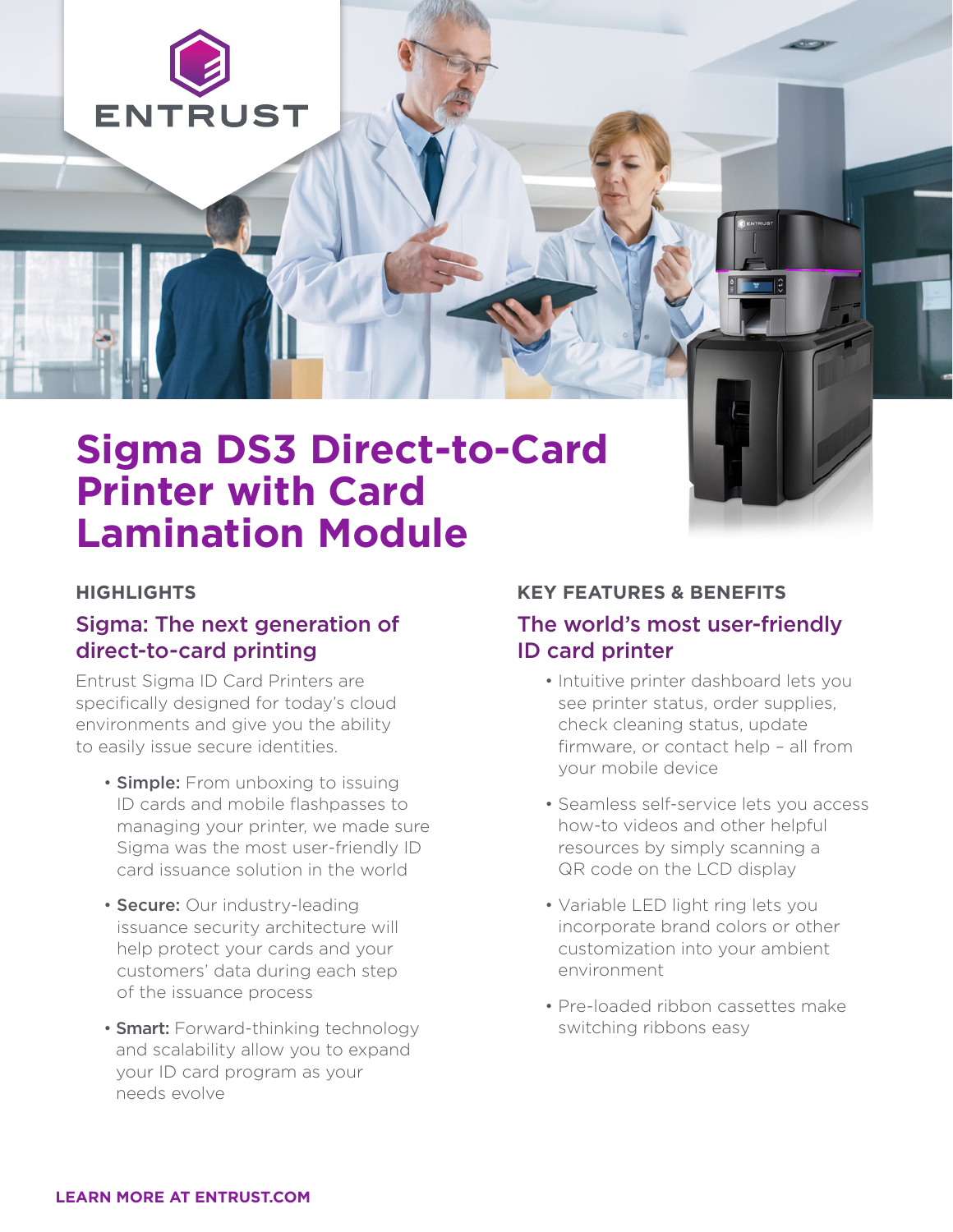

# **Sigma DS3 Direct-to-Card Printer with Card Lamination Module**

### **HIGHLIGHTS**

## Sigma: The next generation of direct-to-card printing

Entrust Sigma ID Card Printers are specifically designed for today's cloud environments and give you the ability to easily issue secure identities.

- **Simple:** From unboxing to issuing ID cards and mobile flashpasses to managing your printer, we made sure Sigma was the most user-friendly ID card issuance solution in the world
- Secure: Our industry-leading issuance security architecture will help protect your cards and your customers' data during each step of the issuance process
- **Smart:** Forward-thinking technology and scalability allow you to expand your ID card program as your needs evolve

### **KEY FEATURES & BENEFITS**

## The world's most user-friendly ID card printer

- Intuitive printer dashboard lets you see printer status, order supplies, check cleaning status, update firmware, or contact help – all from your mobile device
- Seamless self-service lets you access how-to videos and other helpful resources by simply scanning a QR code on the LCD display
- Variable LED light ring lets you incorporate brand colors or other customization into your ambient environment
- Pre-loaded ribbon cassettes make switching ribbons easy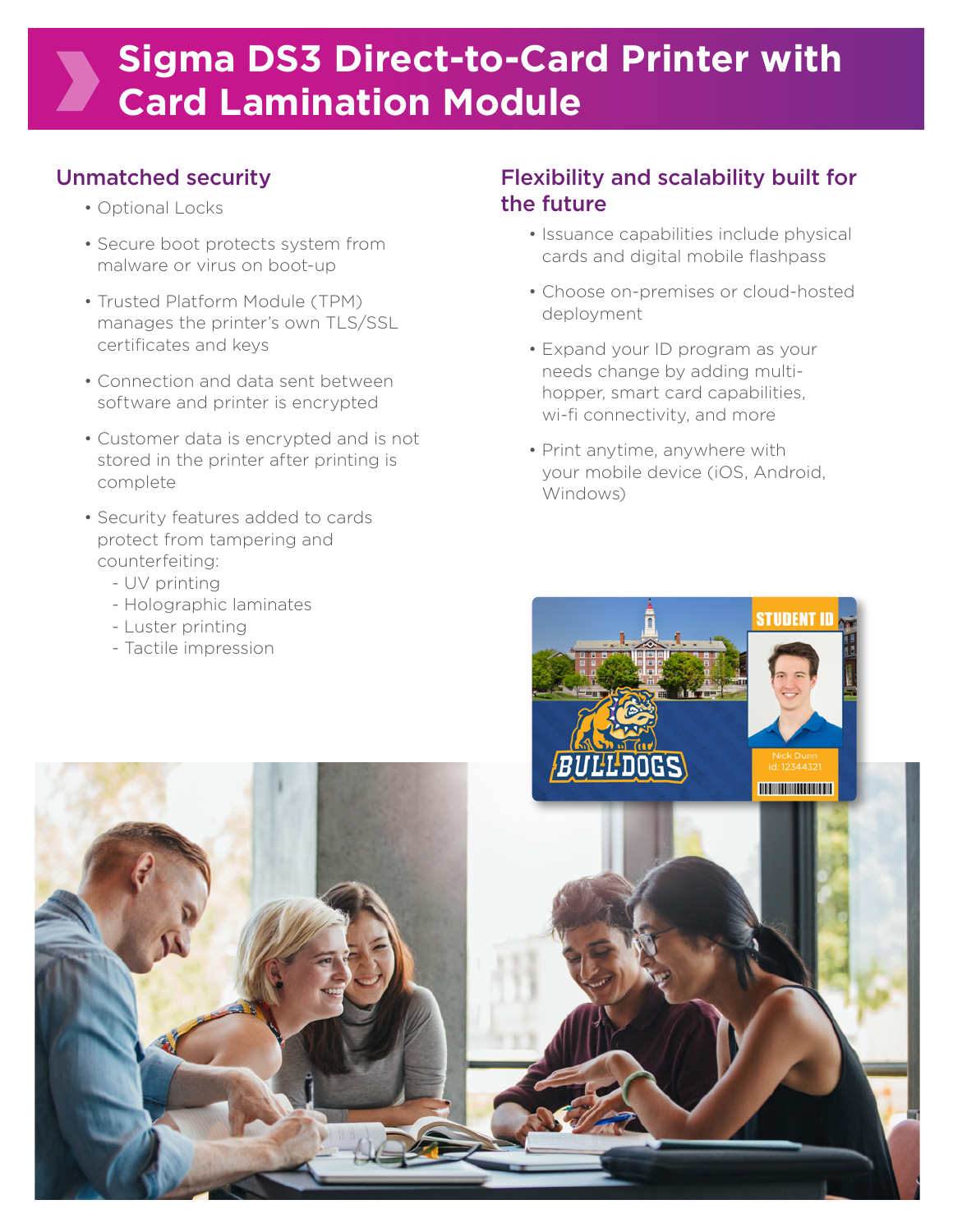# **Sigma DS3 Direct-to-Card Printer with Card Lamination Module**

# Unmatched security

- Optional Locks
- Secure boot protects system from malware or virus on boot-up
- Trusted Platform Module (TPM) manages the printer's own TLS/SSL certificates and keys
- Connection and data sent between software and printer is encrypted
- Customer data is encrypted and is not stored in the printer after printing is complete
- Security features added to cards protect from tampering and counterfeiting:
	- UV printing
	- Holographic laminates
	- Luster printing

# Flexibility and scalability built for the future

- Issuance capabilities include physical cards and digital mobile flashpass
- Choose on-premises or cloud-hosted deployment
- Expand your ID program as your needs change by adding multihopper, smart card capabilities, wi-fi connectivity, and more
- Print anytime, anywhere with your mobile device (iOS, Android, Windows)

**STUDENT ID** 

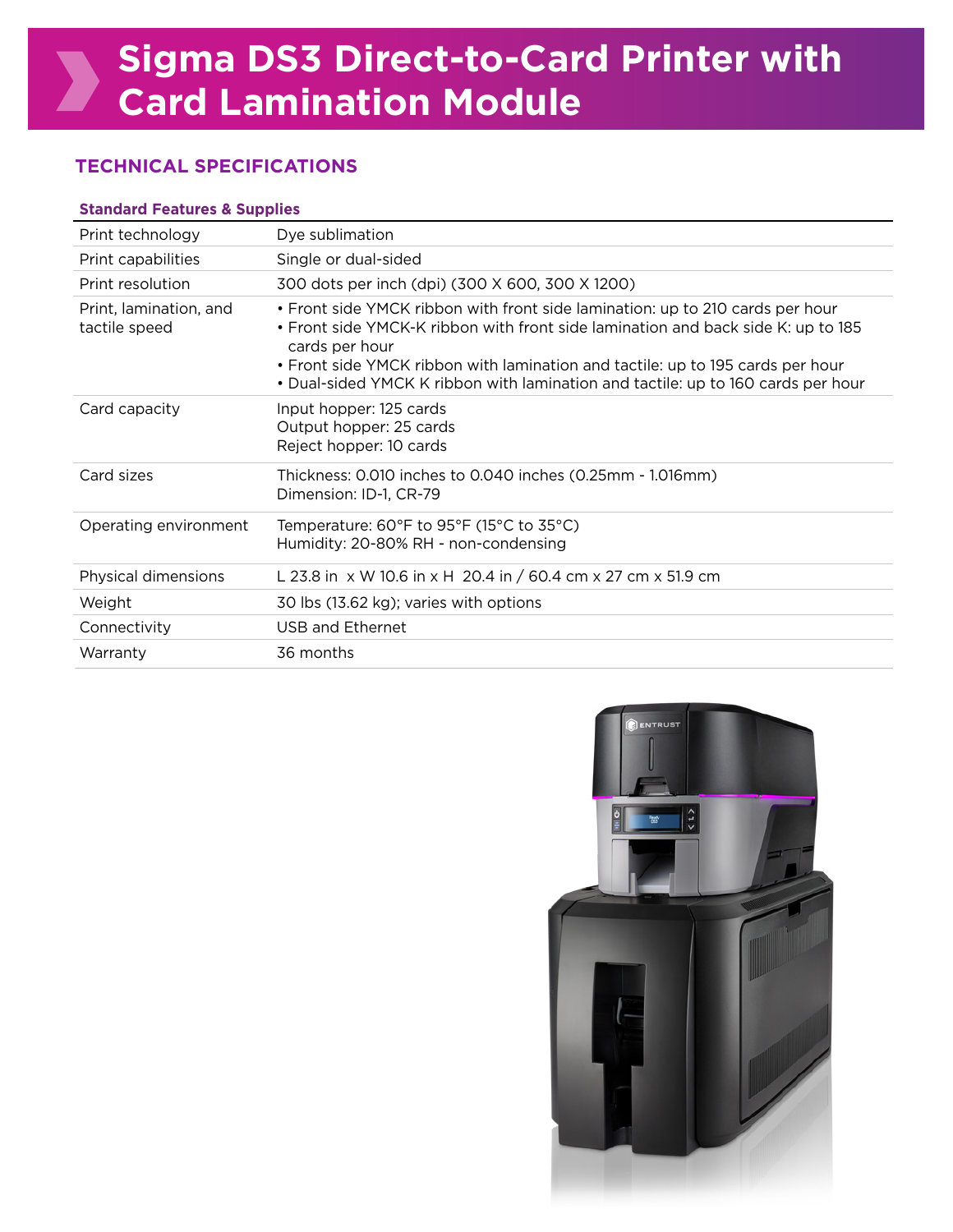## **TECHNICAL SPECIFICATIONS**

#### **Standard Features & Supplies**

| Dye sublimation                                                                                                                                                                                                                                                                                                                                           |
|-----------------------------------------------------------------------------------------------------------------------------------------------------------------------------------------------------------------------------------------------------------------------------------------------------------------------------------------------------------|
| Single or dual-sided                                                                                                                                                                                                                                                                                                                                      |
| 300 dots per inch (dpi) (300 X 600, 300 X 1200)                                                                                                                                                                                                                                                                                                           |
| • Front side YMCK ribbon with front side lamination: up to 210 cards per hour<br>. Front side YMCK-K ribbon with front side lamination and back side K: up to 185<br>cards per hour<br>• Front side YMCK ribbon with lamination and tactile: up to 195 cards per hour<br>• Dual-sided YMCK K ribbon with lamination and tactile: up to 160 cards per hour |
| Input hopper: 125 cards<br>Output hopper: 25 cards<br>Reject hopper: 10 cards                                                                                                                                                                                                                                                                             |
| Thickness: 0.010 inches to 0.040 inches (0.25mm - 1.016mm)<br>Dimension: ID-1, CR-79                                                                                                                                                                                                                                                                      |
| Temperature: $60^{\circ}$ F to 95 $^{\circ}$ F (15 $^{\circ}$ C to 35 $^{\circ}$ C)<br>Humidity: 20-80% RH - non-condensing                                                                                                                                                                                                                               |
| L 23.8 in x W 10.6 in x H 20.4 in / 60.4 cm x 27 cm x 51.9 cm                                                                                                                                                                                                                                                                                             |
| 30 lbs (13.62 kg); varies with options                                                                                                                                                                                                                                                                                                                    |
| USB and Ethernet                                                                                                                                                                                                                                                                                                                                          |
| 36 months                                                                                                                                                                                                                                                                                                                                                 |
|                                                                                                                                                                                                                                                                                                                                                           |